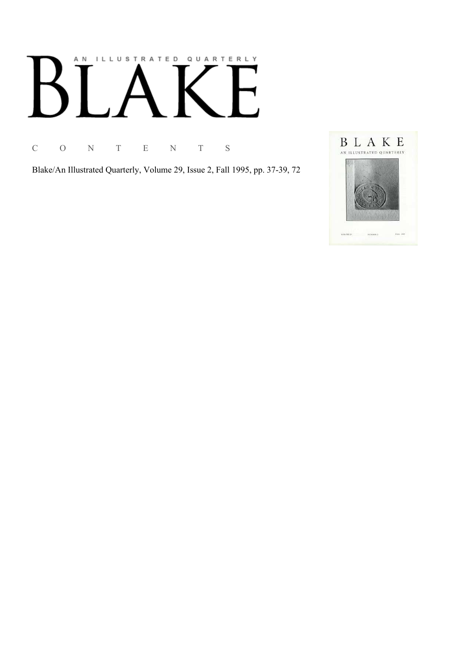# AN ILLUSTRATED QUARTERLY

C O N T E N T S

Blake/An Illustrated Quarterly, Volume 29, Issue 2, Fall 1995, pp. 37-39, 72

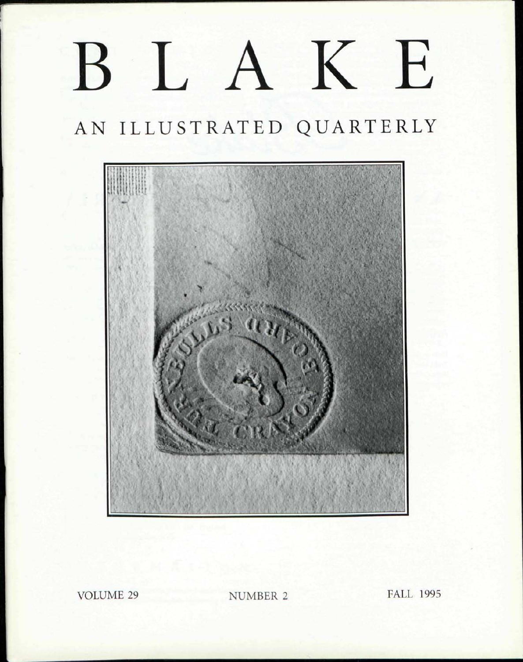## BLAKE

## AN ILLUSTRATED QUARTERLY



**VOLUME 29** 

NUMBER 2

**FALL 1995**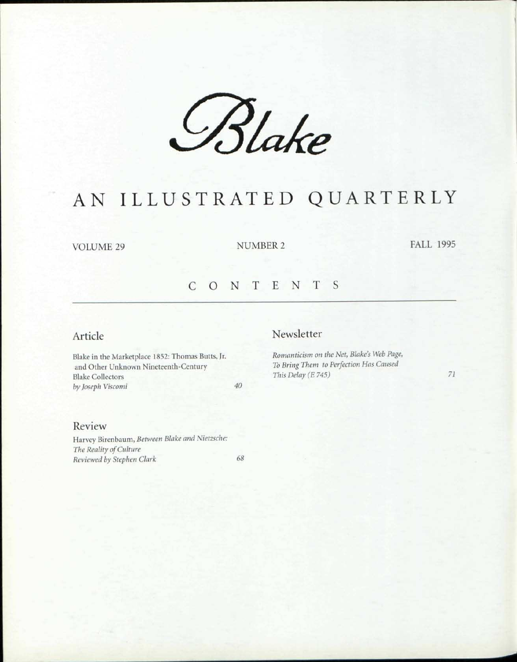*£%Ue* 

### AN ILLUSTRATED QUARTERLY

VOLUME 29 NUMBER 2 FALL 1995

#### CONTENT S

#### Article

Blake in the Marketplace 1852: Thomas Butts, Jr. and Other Unknown Nineteenth-Century Blake Collectors *by Joseph Viscomi 40* 

#### Newsletter

*Romanticism on the Net, Blake's Web Page, To Bring Them to Perfection Has Caused This Delay (E 745) 71* 

#### Review

Harvey Birenbaum, *Between Blake and Nietzsche: The Reality of Culture Reviewed by Stephen Clark 68*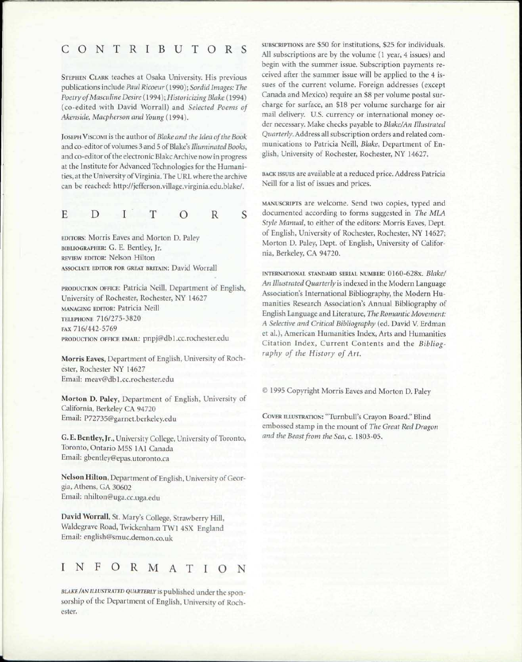#### CONTRIBUTOR S

STEPHEN CLARK teaches at Osaka University. His previous publications include *Paul Ricoeur* (1990); *Sordid Images: The Poetry of Masculine Desire* (1994); *Historicizing Blake* (1994) (co-edited with David Worrall) and *Selected Poems of Akenside, Macpherson and Young* (1994).

JOSEPH VISCOMI is the author of*Blake and the Idea ofthe Book*  and co-editor of volumes 3 and 5 of Blake's *Illuminated Books,*  and co-editor of the electronic BlakcArchive now in progress at the Institute for Advanced Technologies for the Humanities, at the University of Virginia. The URL where the archive can be reached: http://jefferson.village.virginia.edu.blake/.

$$
E \quad D \quad I \quad T \quad O \quad R
$$

S

EDITORS: Morris Eaves and Morton D. Paley BIBLIOGRAPHER: G. E. Bentley, Jr. REVIEW EDITOR: Nelson Hilton ASSOCIATE EDITOR FOR GREAT BRITAIN: David Worrall

PRODUCTION OFFICE: Patricia Neill, Department of English, University of Rochester, Rochester, NY 14627 MANAGING EDITOR: Patricia Neill TELEPHONE 716/275-3820 FAX 716/442-5769 PRODUCTION OFFICE EMAIL: pnpj@dbl.cc.rochester.edu

Morris Eaves, Department of English, University of Rochester, Rochester NY 14627 Email: meav@db 1 .cc.rochester.edu

Morton D. Paley, Department of English, University of California, Berkeley CA 94720 Email: P72735@garnet.berkeley.edu

G. E. Bentley, Jr., University College, University of Toronto, Toronto, Ontario M5S 1A1 Canada Email: gbentley@epas.utoronto.ca

Nelson Hilton, Department of English, University of Georgia, Athens, GA 30602 Email: nhilton@uga.cc.uga.edu

David Worrall, St. Mary's College, Strawberry Hill, Waldegrave Road, Twickenham TW1 4SX England Email: english@smuc.demon.co.uk

#### INFORMATIO N

*BLAKE/AN ILLUSTRATED QVARTERLY* is published under the sponsorship of the Department of English, University of Rochester.

SUBSCRIPTIONS are \$50 for institutions, \$25 for individuals. All subscriptions are by the volume (1 year, 4 issues) and begin with the summer issue. Subscription payments received after the summer issue will be applied to the 4 issues of the current volume. Foreign addresses (except Canada and Mexico) require an \$8 per volume postal surcharge for surface, an \$18 per volume surcharge for air mail delivery. U.S. currency or international money order necessary. Make checks payable to *Blake/An Illustrated Quarterly.* Address all subscription orders and related communications to Patricia Neill, *Blake,* Department of English, University of Rochester, Rochester, NY 14627.

BACK ISSUES are available at a reduced price. Address Patricia Neill for a list of issues and prices.

MANUSCRIPTS are welcome. Send two copies, typed and documented according to forms suggested in *The MLA Style Manual,* to either of the editors: Morris Eaves, Dept. of English, University of Rochester, Rochester, NY 14627; Morton D. Paley, Dept. of English, University of California, Berkeley, CA 94720.

INTERNATIONAL STANDARD SERIAL NUMBER: 0160-628x. *Blake/ An Illustrated Quarterly* is indexed in the Modern Language Association's International Bibliography, the Modern Humanities Research Association's Annual Bibliography of English Language and Literature, *The Romantic Movement: A Selective and Critical Bibliography* (ed. David V. Erdman et al.), American Humanities Index, Arts and Humanities Citation Index, Current Contents and the *Bibliography of the History of Art.* 

*©* 1995 Copyright Morris Eaves and Morton D. Paley

COVER ILLUSTRATION: "Turnbull's Crayon Board." Blind embossed stamp in the mount of *The Great Red Dragon and the Beast from the Sea,* c. 1803-05.